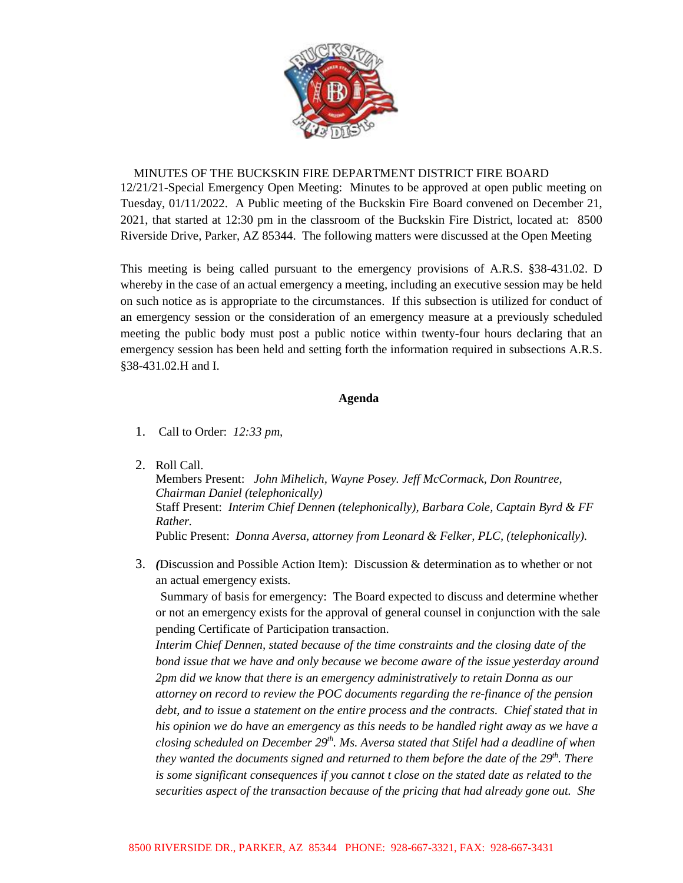

## MINUTES OF THE BUCKSKIN FIRE DEPARTMENT DISTRICT FIRE BOARD

12/21/21-Special Emergency Open Meeting: Minutes to be approved at open public meeting on Tuesday, 01/11/2022. A Public meeting of the Buckskin Fire Board convened on December 21, 2021, that started at 12:30 pm in the classroom of the Buckskin Fire District, located at: 8500 Riverside Drive, Parker, AZ 85344. The following matters were discussed at the Open Meeting

This meeting is being called pursuant to the emergency provisions of A.R.S. §38-431.02. D whereby in the case of an actual emergency a meeting, including an executive session may be held on such notice as is appropriate to the circumstances. If this subsection is utilized for conduct of an emergency session or the consideration of an emergency measure at a previously scheduled meeting the public body must post a public notice within twenty-four hours declaring that an emergency session has been held and setting forth the information required in subsections A.R.S. §38-431.02.H and I.

## **Agenda**

- 1. Call to Order: *12:33 pm,*
- 2. Roll Call.

Members Present: *John Mihelich, Wayne Posey. Jeff McCormack, Don Rountree, Chairman Daniel (telephonically)* Staff Present: *Interim Chief Dennen (telephonically), Barbara Cole, Captain Byrd & FF Rather.* Public Present: *Donna Aversa, attorney from Leonard & Felker, PLC, (telephonically).*

3. *(*Discussion and Possible Action Item): Discussion & determination as to whether or not an actual emergency exists.

Summary of basis for emergency: The Board expected to discuss and determine whether or not an emergency exists for the approval of general counsel in conjunction with the sale pending Certificate of Participation transaction.

*Interim Chief Dennen, stated because of the time constraints and the closing date of the bond issue that we have and only because we become aware of the issue yesterday around 2pm did we know that there is an emergency administratively to retain Donna as our attorney on record to review the POC documents regarding the re-finance of the pension debt, and to issue a statement on the entire process and the contracts. Chief stated that in his opinion we do have an emergency as this needs to be handled right away as we have a closing scheduled on December 29th. Ms. Aversa stated that Stifel had a deadline of when they wanted the documents signed and returned to them before the date of the 29<sup>th</sup>. There is some significant consequences if you cannot t close on the stated date as related to the securities aspect of the transaction because of the pricing that had already gone out. She*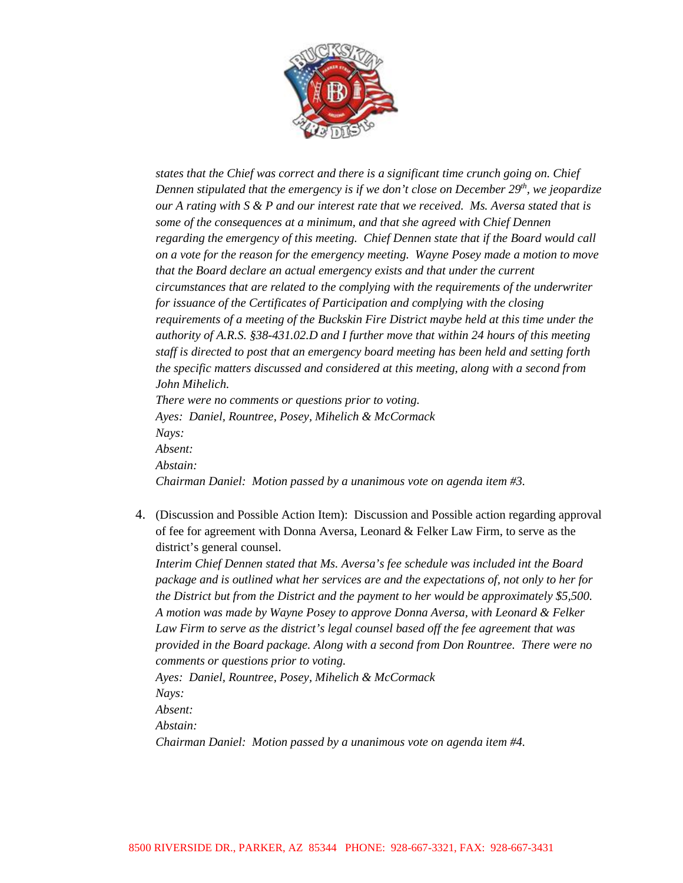

*states that the Chief was correct and there is a significant time crunch going on. Chief Dennen stipulated that the emergency is if we don't close on December 29<sup>th</sup>, we jeopardize our A rating with S & P and our interest rate that we received. Ms. Aversa stated that is some of the consequences at a minimum, and that she agreed with Chief Dennen regarding the emergency of this meeting. Chief Dennen state that if the Board would call on a vote for the reason for the emergency meeting. Wayne Posey made a motion to move that the Board declare an actual emergency exists and that under the current circumstances that are related to the complying with the requirements of the underwriter for issuance of the Certificates of Participation and complying with the closing requirements of a meeting of the Buckskin Fire District maybe held at this time under the authority of A.R.S. §38-431.02.D and I further move that within 24 hours of this meeting staff is directed to post that an emergency board meeting has been held and setting forth the specific matters discussed and considered at this meeting, along with a second from John Mihelich. There were no comments or questions prior to voting.*

*Ayes: Daniel, Rountree, Posey, Mihelich & McCormack Nays: Absent: Abstain: Chairman Daniel: Motion passed by a unanimous vote on agenda item #3.* 

4. (Discussion and Possible Action Item): Discussion and Possible action regarding approval of fee for agreement with Donna Aversa, Leonard & Felker Law Firm, to serve as the district's general counsel.

*Interim Chief Dennen stated that Ms. Aversa's fee schedule was included int the Board package and is outlined what her services are and the expectations of, not only to her for the District but from the District and the payment to her would be approximately \$5,500. A motion was made by Wayne Posey to approve Donna Aversa, with Leonard & Felker Law Firm to serve as the district's legal counsel based off the fee agreement that was provided in the Board package. Along with a second from Don Rountree. There were no comments or questions prior to voting.*

*Ayes: Daniel, Rountree, Posey, Mihelich & McCormack Nays: Absent:*

*Abstain:*

*Chairman Daniel: Motion passed by a unanimous vote on agenda item #4.*